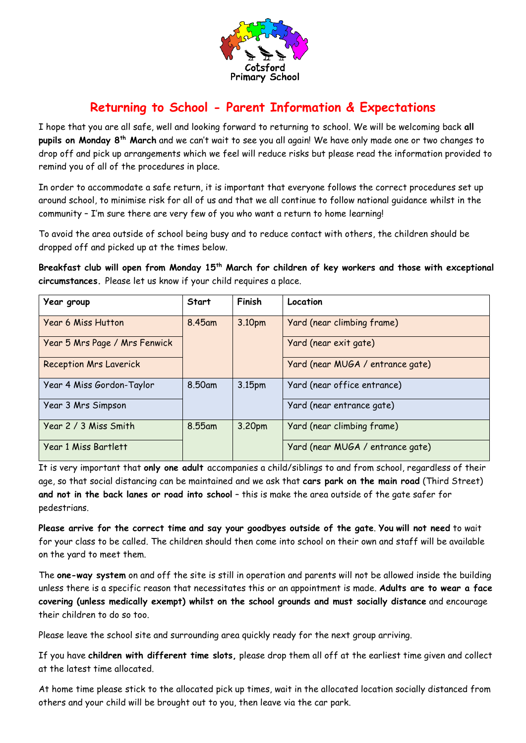

## **Returning to School - Parent Information & Expectations**

I hope that you are all safe, well and looking forward to returning to school. We will be welcoming back **all pupils on Monday 8th March** and we can't wait to see you all again! We have only made one or two changes to drop off and pick up arrangements which we feel will reduce risks but please read the information provided to remind you of all of the procedures in place.

In order to accommodate a safe return, it is important that everyone follows the correct procedures set up around school, to minimise risk for all of us and that we all continue to follow national guidance whilst in the community – I'm sure there are very few of you who want a return to home learning!

To avoid the area outside of school being busy and to reduce contact with others, the children should be dropped off and picked up at the times below.

**Breakfast club will open from Monday 15th March for children of key workers and those with exceptional circumstances.** Please let us know if your child requires a place.

| Year group                    | Start  | Finish | Location                         |
|-------------------------------|--------|--------|----------------------------------|
| <b>Year 6 Miss Hutton</b>     | 8.45am | 3.10pm | Yard (near climbing frame)       |
| Year 5 Mrs Page / Mrs Fenwick |        |        | Yard (near exit gate)            |
| <b>Reception Mrs Laverick</b> |        |        | Yard (near MUGA / entrance gate) |
| Year 4 Miss Gordon-Taylor     | 8.50am | 3.15pm | Yard (near office entrance)      |
| Year 3 Mrs Simpson            |        |        | Yard (near entrance gate)        |
| Year 2 / 3 Miss Smith         | 8.55am | 3.20pm | Yard (near climbing frame)       |
| Year 1 Miss Bartlett          |        |        | Yard (near MUGA / entrance gate) |

It is very important that **only one adult** accompanies a child/siblings to and from school, regardless of their age, so that social distancing can be maintained and we ask that **cars park on the main road** (Third Street) **and not in the back lanes or road into school** – this is make the area outside of the gate safer for pedestrians.

**Please arrive for the correct time and say your goodbyes outside of the gate**. **You will not need** to wait for your class to be called. The children should then come into school on their own and staff will be available on the yard to meet them.

The **one-way system** on and off the site is still in operation and parents will not be allowed inside the building unless there is a specific reason that necessitates this or an appointment is made. **Adults are to wear a face covering (unless medically exempt) whilst on the school grounds and must socially distance** and encourage their children to do so too.

Please leave the school site and surrounding area quickly ready for the next group arriving.

If you have **children with different time slots,** please drop them all off at the earliest time given and collect at the latest time allocated.

At home time please stick to the allocated pick up times, wait in the allocated location socially distanced from others and your child will be brought out to you, then leave via the car park.